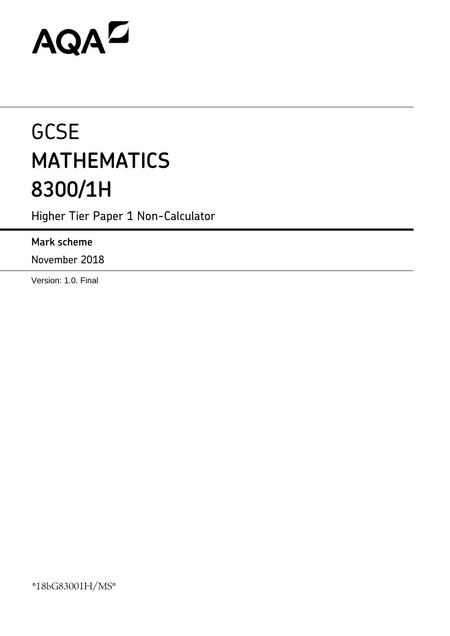# AQAZ

# **GCSE MATHEMATICS 8300/1H**

Higher Tier Paper 1 Non-Calculator

# **Mark scheme**

November 2018

Version: 1.0. Final

\*18bG83001H/MS\*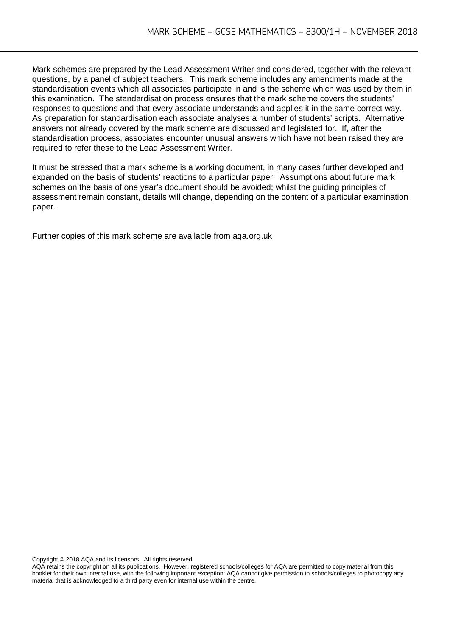Mark schemes are prepared by the Lead Assessment Writer and considered, together with the relevant questions, by a panel of subject teachers. This mark scheme includes any amendments made at the standardisation events which all associates participate in and is the scheme which was used by them in this examination. The standardisation process ensures that the mark scheme covers the students' responses to questions and that every associate understands and applies it in the same correct way. As preparation for standardisation each associate analyses a number of students' scripts. Alternative answers not already covered by the mark scheme are discussed and legislated for. If, after the standardisation process, associates encounter unusual answers which have not been raised they are required to refer these to the Lead Assessment Writer.

It must be stressed that a mark scheme is a working document, in many cases further developed and expanded on the basis of students' reactions to a particular paper. Assumptions about future mark schemes on the basis of one year's document should be avoided; whilst the guiding principles of assessment remain constant, details will change, depending on the content of a particular examination paper.

Further copies of this mark scheme are available from aqa.org.uk

Copyright © 2018 AQA and its licensors. All rights reserved.

AQA retains the copyright on all its publications. However, registered schools/colleges for AQA are permitted to copy material from this booklet for their own internal use, with the following important exception: AQA cannot give permission to schools/colleges to photocopy any material that is acknowledged to a third party even for internal use within the centre.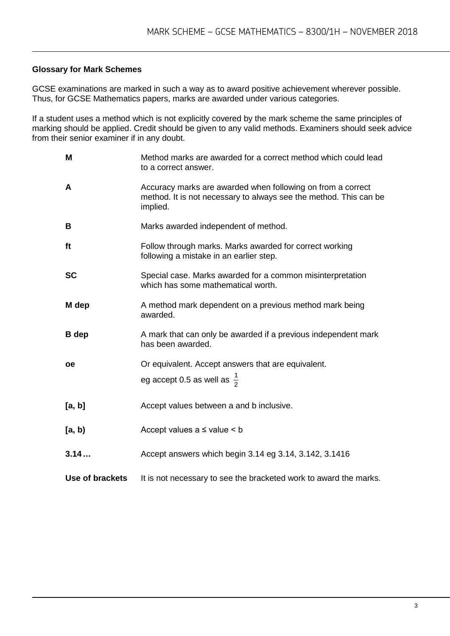#### **Glossary for Mark Schemes**

GCSE examinations are marked in such a way as to award positive achievement wherever possible. Thus, for GCSE Mathematics papers, marks are awarded under various categories.

If a student uses a method which is not explicitly covered by the mark scheme the same principles of marking should be applied. Credit should be given to any valid methods. Examiners should seek advice from their senior examiner if in any doubt.

| M               | Method marks are awarded for a correct method which could lead<br>to a correct answer.                                                       |
|-----------------|----------------------------------------------------------------------------------------------------------------------------------------------|
| A               | Accuracy marks are awarded when following on from a correct<br>method. It is not necessary to always see the method. This can be<br>implied. |
| B               | Marks awarded independent of method.                                                                                                         |
| ft              | Follow through marks. Marks awarded for correct working<br>following a mistake in an earlier step.                                           |
| <b>SC</b>       | Special case. Marks awarded for a common misinterpretation<br>which has some mathematical worth.                                             |
| M dep           | A method mark dependent on a previous method mark being<br>awarded.                                                                          |
| <b>B</b> dep    | A mark that can only be awarded if a previous independent mark<br>has been awarded.                                                          |
| <b>oe</b>       | Or equivalent. Accept answers that are equivalent.                                                                                           |
|                 | eg accept 0.5 as well as $\frac{1}{2}$                                                                                                       |
| [a, b]          | Accept values between a and b inclusive.                                                                                                     |
| [a, b)          | Accept values $a \leq$ value $\leq b$                                                                                                        |
| 3.14            | Accept answers which begin 3.14 eg 3.14, 3.142, 3.1416                                                                                       |
| Use of brackets | It is not necessary to see the bracketed work to award the marks.                                                                            |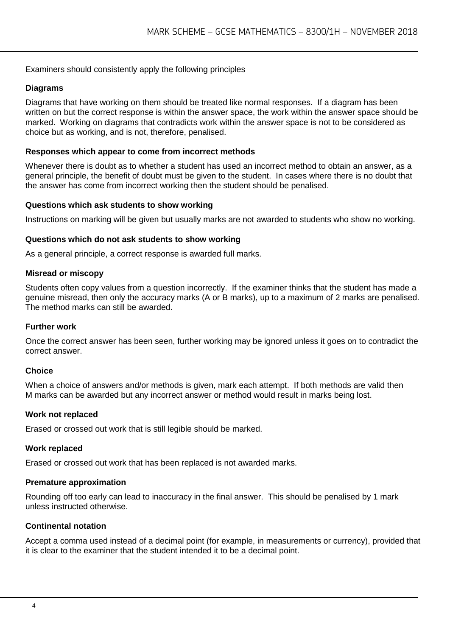#### Examiners should consistently apply the following principles

#### **Diagrams**

Diagrams that have working on them should be treated like normal responses. If a diagram has been written on but the correct response is within the answer space, the work within the answer space should be marked. Working on diagrams that contradicts work within the answer space is not to be considered as choice but as working, and is not, therefore, penalised.

#### **Responses which appear to come from incorrect methods**

Whenever there is doubt as to whether a student has used an incorrect method to obtain an answer, as a general principle, the benefit of doubt must be given to the student. In cases where there is no doubt that the answer has come from incorrect working then the student should be penalised.

#### **Questions which ask students to show working**

Instructions on marking will be given but usually marks are not awarded to students who show no working.

#### **Questions which do not ask students to show working**

As a general principle, a correct response is awarded full marks.

#### **Misread or miscopy**

Students often copy values from a question incorrectly. If the examiner thinks that the student has made a genuine misread, then only the accuracy marks (A or B marks), up to a maximum of 2 marks are penalised. The method marks can still be awarded.

#### **Further work**

Once the correct answer has been seen, further working may be ignored unless it goes on to contradict the correct answer.

#### **Choice**

When a choice of answers and/or methods is given, mark each attempt. If both methods are valid then M marks can be awarded but any incorrect answer or method would result in marks being lost.

#### **Work not replaced**

Erased or crossed out work that is still legible should be marked.

#### **Work replaced**

Erased or crossed out work that has been replaced is not awarded marks.

#### **Premature approximation**

Rounding off too early can lead to inaccuracy in the final answer. This should be penalised by 1 mark unless instructed otherwise.

#### **Continental notation**

Accept a comma used instead of a decimal point (for example, in measurements or currency), provided that it is clear to the examiner that the student intended it to be a decimal point.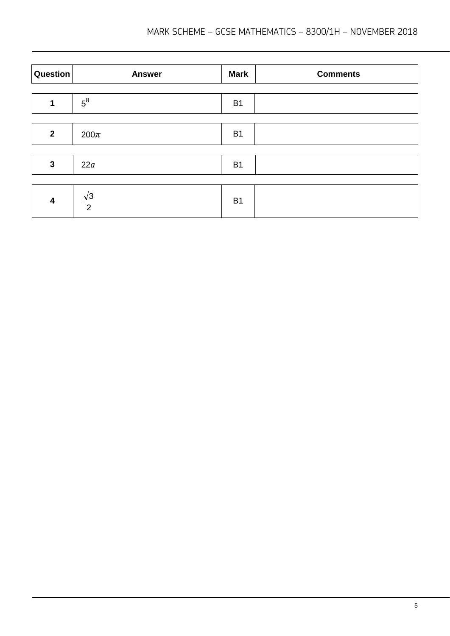| Question     | <b>Answer</b>        | <b>Mark</b> | <b>Comments</b> |
|--------------|----------------------|-------------|-----------------|
|              | $5^8$                | <b>B1</b>   |                 |
|              |                      |             |                 |
| $\mathbf{2}$ | $200\pi$             | <b>B1</b>   |                 |
|              |                      |             |                 |
| $\mathbf{3}$ | 22a                  | <b>B1</b>   |                 |
|              |                      |             |                 |
| 4            | $\frac{\sqrt{3}}{2}$ | <b>B1</b>   |                 |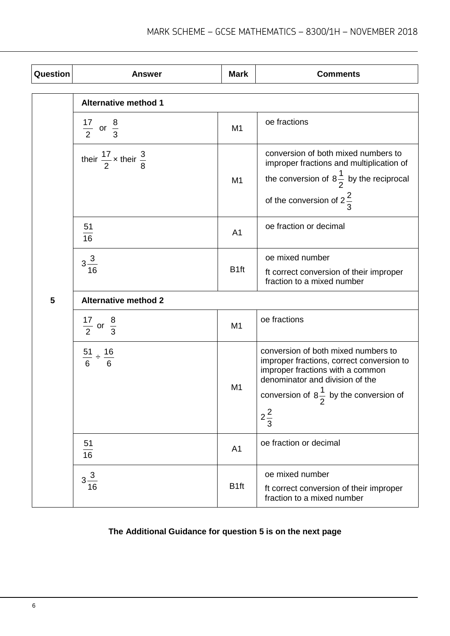| Question | <b>Answer</b>                              | <b>Mark</b>      | <b>Comments</b>                                                                                                                                                                                                                     |  |  |
|----------|--------------------------------------------|------------------|-------------------------------------------------------------------------------------------------------------------------------------------------------------------------------------------------------------------------------------|--|--|
|          | <b>Alternative method 1</b>                |                  |                                                                                                                                                                                                                                     |  |  |
|          | $\frac{17}{2}$ or $\frac{8}{3}$            | M1               | oe fractions                                                                                                                                                                                                                        |  |  |
|          | their $\frac{17}{2}$ x their $\frac{3}{8}$ | M <sub>1</sub>   | conversion of both mixed numbers to<br>improper fractions and multiplication of<br>the conversion of $8\frac{1}{2}$ by the reciprocal<br>of the conversion of $2\frac{2}{3}$                                                        |  |  |
|          | 51<br>16                                   | A <sub>1</sub>   | oe fraction or decimal                                                                                                                                                                                                              |  |  |
|          | $3\frac{3}{16}$                            | B <sub>1ft</sub> | oe mixed number<br>ft correct conversion of their improper<br>fraction to a mixed number                                                                                                                                            |  |  |
| 5        | <b>Alternative method 2</b>                |                  |                                                                                                                                                                                                                                     |  |  |
|          | $\frac{17}{2}$ or $\frac{8}{3}$            | M <sub>1</sub>   | oe fractions                                                                                                                                                                                                                        |  |  |
|          | $\frac{51}{6} \div \frac{16}{6}$           | M1               | conversion of both mixed numbers to<br>improper fractions, correct conversion to<br>improper fractions with a common<br>denominator and division of the<br>conversion of $8\frac{1}{2}$ by the conversion of<br>۷<br>$2\frac{2}{3}$ |  |  |
|          | 51<br>16                                   | A <sub>1</sub>   | oe fraction or decimal                                                                                                                                                                                                              |  |  |
|          | $3\frac{3}{16}$                            | B <sub>1ft</sub> | oe mixed number<br>ft correct conversion of their improper<br>fraction to a mixed number                                                                                                                                            |  |  |

### **The Additional Guidance for question 5 is on the next page**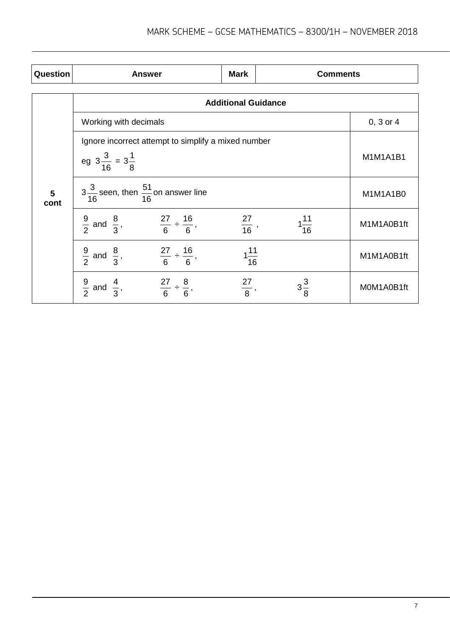| Question  | <b>Answer</b>                                                        | <b>Mark</b>       | <b>Comments</b>  |               |  |  |  |
|-----------|----------------------------------------------------------------------|-------------------|------------------|---------------|--|--|--|
|           | <b>Additional Guidance</b>                                           |                   |                  |               |  |  |  |
|           | Working with decimals                                                |                   |                  | $0, 3$ or $4$ |  |  |  |
|           | Ignore incorrect attempt to simplify a mixed number                  |                   |                  |               |  |  |  |
|           | eg $3\frac{3}{16} = 3\frac{1}{8}$                                    |                   |                  | M1M1A1B1      |  |  |  |
| 5<br>cont | $3\frac{3}{16}$ seen, then $\frac{51}{16}$ on answer line            |                   |                  | M1M1A1B0      |  |  |  |
|           | $\frac{9}{2}$ and $\frac{8}{3}$ , $\frac{27}{6} \div \frac{16}{6}$ , | $\frac{27}{16}$ , | $1\frac{11}{16}$ | M1M1A0B1ft    |  |  |  |
|           | $\frac{9}{2}$ and $\frac{8}{3}$ , $\frac{27}{6} \div \frac{16}{6}$ , | $1\frac{11}{16}$  |                  | M1M1A0B1ft    |  |  |  |
|           | $\frac{9}{2}$ and $\frac{4}{3}$ ,<br>$\frac{27}{6} \div \frac{8}{6}$ | $\frac{27}{8},$   | $3\frac{3}{8}$   | M0M1A0B1ft    |  |  |  |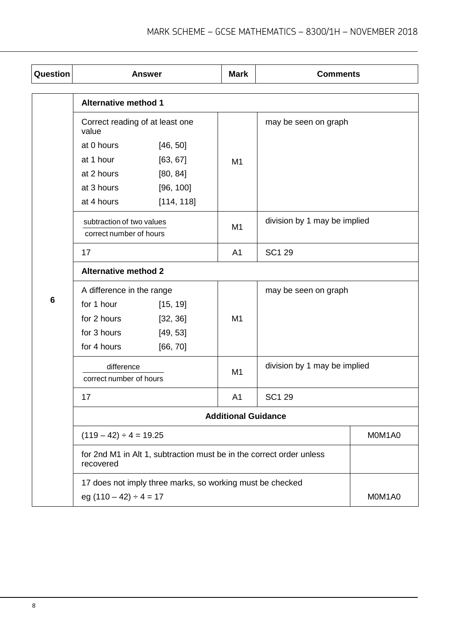| Question |                                                                                          | <b>Answer</b>                                                        | <b>Mark</b>                | <b>Comments</b>              |        |
|----------|------------------------------------------------------------------------------------------|----------------------------------------------------------------------|----------------------------|------------------------------|--------|
|          | <b>Alternative method 1</b>                                                              |                                                                      |                            |                              |        |
|          | Correct reading of at least one<br>value                                                 |                                                                      |                            | may be seen on graph         |        |
|          | at 0 hours                                                                               | [46, 50]                                                             |                            |                              |        |
|          | at 1 hour                                                                                | [63, 67]                                                             | M1                         |                              |        |
|          | at 2 hours                                                                               | [80, 84]                                                             |                            |                              |        |
|          | at 3 hours                                                                               | [96, 100]                                                            |                            |                              |        |
|          | at 4 hours                                                                               | [114, 118]                                                           |                            |                              |        |
|          | subtraction of two values<br>correct number of hours                                     |                                                                      | M <sub>1</sub>             | division by 1 may be implied |        |
|          | 17                                                                                       |                                                                      | A <sub>1</sub>             | <b>SC1 29</b>                |        |
|          | <b>Alternative method 2</b>                                                              |                                                                      |                            |                              |        |
|          | A difference in the range                                                                |                                                                      |                            | may be seen on graph         |        |
| 6        | for 1 hour                                                                               | [15, 19]                                                             |                            |                              |        |
|          | for 2 hours                                                                              | [32, 36]                                                             | M1                         |                              |        |
|          | for 3 hours                                                                              | [49, 53]                                                             |                            |                              |        |
|          | for 4 hours                                                                              | [66, 70]                                                             |                            |                              |        |
|          | difference<br>correct number of hours                                                    |                                                                      | M <sub>1</sub>             | division by 1 may be implied |        |
|          | 17                                                                                       |                                                                      | A <sub>1</sub>             | <b>SC1 29</b>                |        |
|          |                                                                                          |                                                                      | <b>Additional Guidance</b> |                              |        |
|          | $(119 – 42) ÷ 4 = 19.25$                                                                 |                                                                      |                            |                              | M0M1A0 |
|          | recovered                                                                                | for 2nd M1 in Alt 1, subtraction must be in the correct order unless |                            |                              |        |
|          | 17 does not imply three marks, so working must be checked<br>eg $(110 - 42) \div 4 = 17$ |                                                                      | M0M1A0                     |                              |        |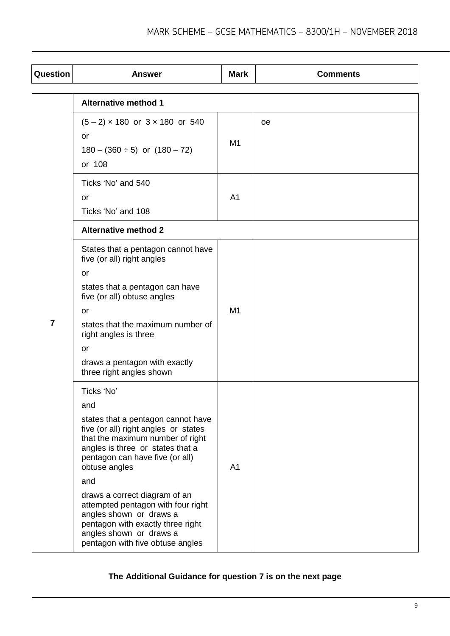| Question       | <b>Answer</b>                                                                                                                                                                                                                                                                                                                                                                                                                            | <b>Mark</b>    | <b>Comments</b> |
|----------------|------------------------------------------------------------------------------------------------------------------------------------------------------------------------------------------------------------------------------------------------------------------------------------------------------------------------------------------------------------------------------------------------------------------------------------------|----------------|-----------------|
|                | <b>Alternative method 1</b>                                                                                                                                                                                                                                                                                                                                                                                                              |                |                 |
| $\overline{7}$ | $(5-2) \times 180$ or $3 \times 180$ or 540<br><b>or</b><br>$180 - (360 \div 5)$ or $(180 - 72)$<br>or 108                                                                                                                                                                                                                                                                                                                               | M <sub>1</sub> | <sub>oe</sub>   |
|                | Ticks 'No' and 540<br>or<br>Ticks 'No' and 108                                                                                                                                                                                                                                                                                                                                                                                           | A <sub>1</sub> |                 |
|                | <b>Alternative method 2</b>                                                                                                                                                                                                                                                                                                                                                                                                              |                |                 |
|                | States that a pentagon cannot have<br>five (or all) right angles<br>or<br>states that a pentagon can have<br>five (or all) obtuse angles<br>or<br>states that the maximum number of<br>right angles is three<br>or<br>draws a pentagon with exactly<br>three right angles shown                                                                                                                                                          | M <sub>1</sub> |                 |
|                | Ticks 'No'<br>and<br>states that a pentagon cannot have<br>five (or all) right angles or states<br>that the maximum number of right<br>angles is three or states that a<br>pentagon can have five (or all)<br>obtuse angles<br>and<br>draws a correct diagram of an<br>attempted pentagon with four right<br>angles shown or draws a<br>pentagon with exactly three right<br>angles shown or draws a<br>pentagon with five obtuse angles | A <sub>1</sub> |                 |

## **The Additional Guidance for question 7 is on the next page**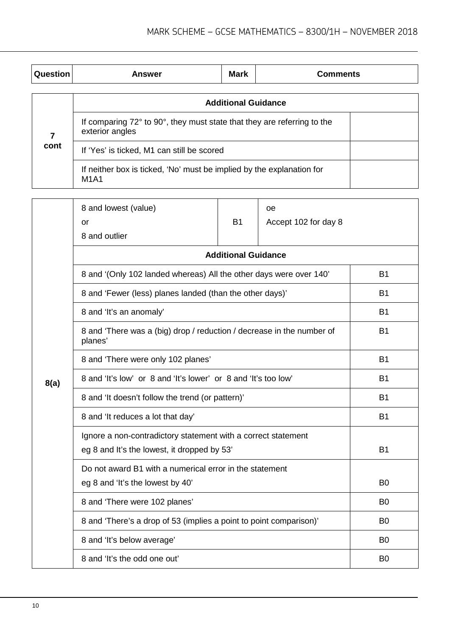| Question       | <b>Answer</b>                                                                              | <b>Mark</b> | <b>Comments</b>      |      |  |  |
|----------------|--------------------------------------------------------------------------------------------|-------------|----------------------|------|--|--|
|                | <b>Additional Guidance</b>                                                                 |             |                      |      |  |  |
| $\overline{7}$ | If comparing 72° to 90°, they must state that they are referring to the<br>exterior angles |             |                      |      |  |  |
| cont           | If 'Yes' is ticked, M1 can still be scored                                                 |             |                      |      |  |  |
|                | If neither box is ticked, 'No' must be implied by the explanation for<br><b>M1A1</b>       |             |                      |      |  |  |
|                |                                                                                            |             |                      |      |  |  |
|                | 8 and lowest (value)                                                                       |             | oe                   |      |  |  |
|                | or                                                                                         | <b>B1</b>   | Accept 102 for day 8 |      |  |  |
|                | 8 and outlier                                                                              |             |                      |      |  |  |
|                | <b>Additional Guidance</b>                                                                 |             |                      |      |  |  |
|                | 8 and '(Only 102 landed whereas) All the other days were over 140'<br><b>B1</b>            |             |                      |      |  |  |
|                | 8 and 'Fewer (less) planes landed (than the other days)'<br><b>B1</b>                      |             |                      |      |  |  |
|                | $\Omega$ and the second second $\Gamma$                                                    |             |                      | D.A. |  |  |

|      | 8 and Fewer (less) planes langed (than the other days)                                                       | БT             |
|------|--------------------------------------------------------------------------------------------------------------|----------------|
|      | 8 and 'It's an anomaly'                                                                                      | <b>B1</b>      |
|      | 8 and 'There was a (big) drop / reduction / decrease in the number of<br>planes'                             | <b>B1</b>      |
|      | 8 and 'There were only 102 planes'                                                                           | <b>B1</b>      |
| 8(a) | 8 and 'It's low' or 8 and 'It's lower' or 8 and 'It's too low'                                               | <b>B1</b>      |
|      | 8 and 'It doesn't follow the trend (or pattern)'                                                             | <b>B1</b>      |
|      | 8 and 'It reduces a lot that day'                                                                            | <b>B1</b>      |
|      | Ignore a non-contradictory statement with a correct statement<br>eg 8 and It's the lowest, it dropped by 53' | <b>B1</b>      |
|      | Do not award B1 with a numerical error in the statement                                                      |                |
|      | eg 8 and 'It's the lowest by 40'                                                                             | B <sub>0</sub> |
|      | 8 and 'There were 102 planes'                                                                                | B <sub>0</sub> |
|      | 8 and 'There's a drop of 53 (implies a point to point comparison)'                                           | B <sub>0</sub> |
|      | 8 and 'It's below average'                                                                                   | B <sub>0</sub> |
|      | 8 and 'It's the odd one out'                                                                                 | B <sub>0</sub> |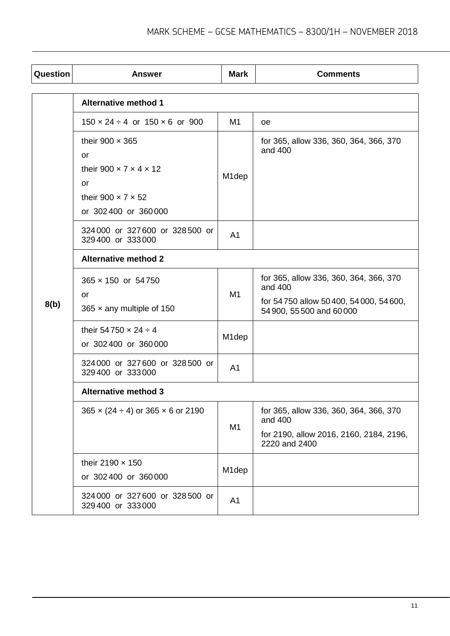| Question | <b>Answer</b>                                           | <b>Mark</b>        | <b>Comments</b>                                                   |  |  |
|----------|---------------------------------------------------------|--------------------|-------------------------------------------------------------------|--|--|
|          | <b>Alternative method 1</b>                             |                    |                                                                   |  |  |
|          | $150 \times 24 \div 4$ or $150 \times 6$ or 900         | M1                 |                                                                   |  |  |
|          |                                                         |                    | oe.                                                               |  |  |
|          | their 900 $\times$ 365                                  |                    | for 365, allow 336, 360, 364, 366, 370<br>and 400                 |  |  |
|          | or                                                      |                    |                                                                   |  |  |
|          | their 900 $\times$ 7 $\times$ 4 $\times$ 12             | M <sub>1</sub> dep |                                                                   |  |  |
|          | or                                                      |                    |                                                                   |  |  |
|          | their 900 $\times$ 7 $\times$ 52                        |                    |                                                                   |  |  |
|          | or 302400 or 360000                                     |                    |                                                                   |  |  |
|          | 324000 or 327600 or 328500 or<br>329400 or 333000       | A <sub>1</sub>     |                                                                   |  |  |
|          | <b>Alternative method 2</b>                             |                    |                                                                   |  |  |
| 8(b)     | 365 × 150 or 54750                                      |                    | for 365, allow 336, 360, 364, 366, 370<br>and 400                 |  |  |
|          | or<br>365 $\times$ any multiple of 150                  | M1                 | for 54750 allow 50400, 54000, 54600,<br>54 900, 55 500 and 60 000 |  |  |
|          | their 54750 $\times$ 24 $\div$ 4<br>or 302400 or 360000 | M <sub>1</sub> dep |                                                                   |  |  |
|          | 324 000 or 327 600 or 328 500 or<br>329400 or 333000    | A <sub>1</sub>     |                                                                   |  |  |
|          | <b>Alternative method 3</b>                             |                    |                                                                   |  |  |
|          | $365 \times (24 \div 4)$ or $365 \times 6$ or 2190      | M1                 | for 365, allow 336, 360, 364, 366, 370<br>and 400                 |  |  |
|          |                                                         |                    | for 2190, allow 2016, 2160, 2184, 2196,<br>2220 and 2400          |  |  |
|          | their 2190 $\times$ 150<br>or 302400 or 360000          | M1dep              |                                                                   |  |  |
|          | 324000 or 327600 or 328500 or<br>329400 or 333000       | A <sub>1</sub>     |                                                                   |  |  |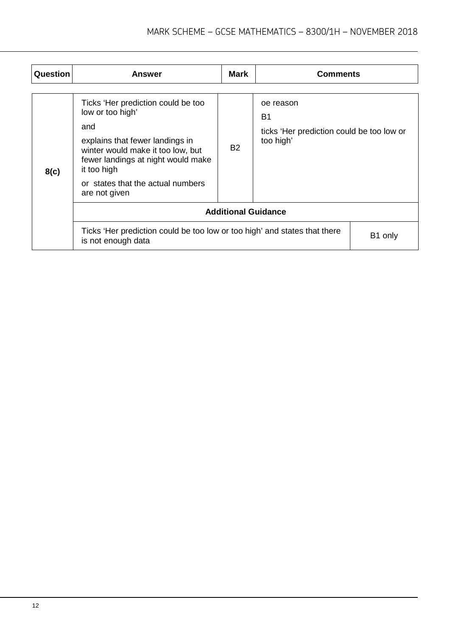| Question | <b>Answer</b>                                                                                                                                                                                                                                    | <b>Mark</b> | <b>Comments</b>                                                           |         |  |
|----------|--------------------------------------------------------------------------------------------------------------------------------------------------------------------------------------------------------------------------------------------------|-------------|---------------------------------------------------------------------------|---------|--|
| 8(c)     | Ticks 'Her prediction could be too<br>low or too high'<br>and<br>explains that fewer landings in<br>winter would make it too low, but<br>fewer landings at night would make<br>it too high<br>or states that the actual numbers<br>are not given | <b>B2</b>   | oe reason<br>B1<br>ticks 'Her prediction could be too low or<br>too high' |         |  |
|          | <b>Additional Guidance</b>                                                                                                                                                                                                                       |             |                                                                           |         |  |
|          | Ticks 'Her prediction could be too low or too high' and states that there<br>is not enough data                                                                                                                                                  |             |                                                                           | B1 only |  |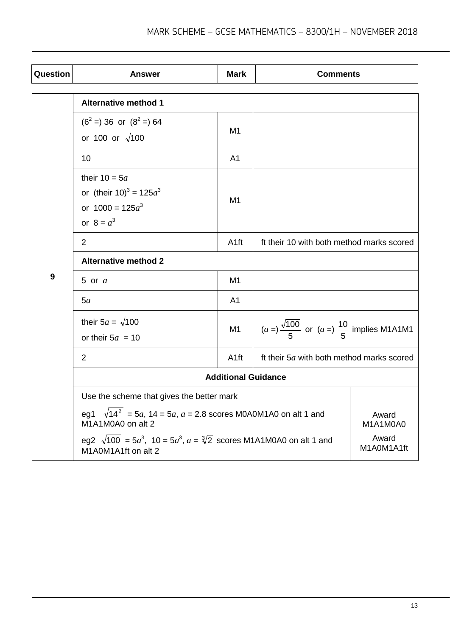| Question         | <b>Answer</b>                                                                                                                     | <b>Mark</b>         | <b>Comments</b>                                                     |          |  |
|------------------|-----------------------------------------------------------------------------------------------------------------------------------|---------------------|---------------------------------------------------------------------|----------|--|
|                  | <b>Alternative method 1</b>                                                                                                       |                     |                                                                     |          |  |
|                  | $(6^2 = 36$ or $(8^2 = 64$<br>or 100 or $\sqrt{100}$                                                                              | M <sub>1</sub>      |                                                                     |          |  |
|                  | 10                                                                                                                                | A <sub>1</sub>      |                                                                     |          |  |
|                  | their $10 = 5a$<br>or (their $10)^3 = 125a^3$<br>or $1000 = 125a^3$<br>or $8 = a^3$                                               | M <sub>1</sub>      |                                                                     |          |  |
|                  | $\overline{2}$                                                                                                                    | A <sub>1ft</sub>    | ft their 10 with both method marks scored                           |          |  |
|                  | <b>Alternative method 2</b>                                                                                                       |                     |                                                                     |          |  |
| $\boldsymbol{9}$ | 5 or $a$                                                                                                                          | M1                  |                                                                     |          |  |
|                  | 5a                                                                                                                                | A <sub>1</sub>      |                                                                     |          |  |
|                  | their $5a = \sqrt{100}$<br>or their $5a = 10$                                                                                     | M1                  | $(a = )\frac{\sqrt{100}}{5}$ or $(a = )\frac{10}{5}$ implies M1A1M1 |          |  |
|                  | 2                                                                                                                                 | A <sub>1ft</sub>    | ft their 5a with both method marks scored                           |          |  |
|                  | <b>Additional Guidance</b>                                                                                                        |                     |                                                                     |          |  |
|                  | Use the scheme that gives the better mark                                                                                         |                     |                                                                     |          |  |
|                  | eg1 $\sqrt{14^2}$ = 5a, 14 = 5a, a = 2.8 scores M0A0M1A0 on alt 1 and<br>Award<br>M1A1M0A0 on alt 2                               |                     |                                                                     | M1A1M0A0 |  |
|                  | eg2 $\sqrt{100}$ = 5a <sup>3</sup> , 10 = 5a <sup>3</sup> , a = $\sqrt[3]{2}$ scores M1A1M0A0 on alt 1 and<br>M1A0M1A1ft on alt 2 | Award<br>M1A0M1A1ft |                                                                     |          |  |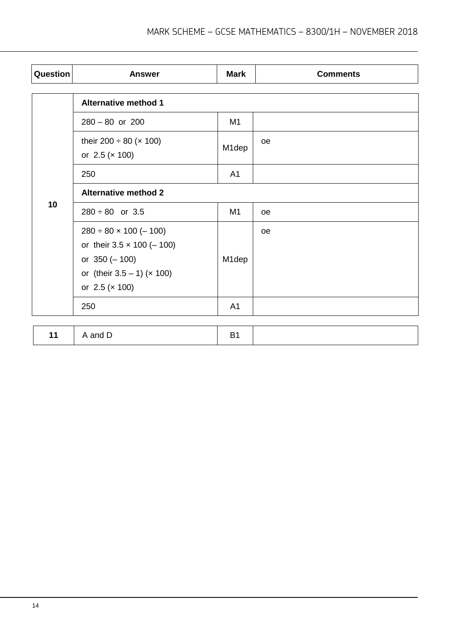| Question | <b>Answer</b>                                                                                                                                       | <b>Mark</b>    | <b>Comments</b> |  |
|----------|-----------------------------------------------------------------------------------------------------------------------------------------------------|----------------|-----------------|--|
|          | <b>Alternative method 1</b>                                                                                                                         |                |                 |  |
|          | $280 - 80$ or $200$                                                                                                                                 | M1             |                 |  |
|          | their 200 $\div$ 80 ( $\times$ 100)<br>or $2.5 (x 100)$                                                                                             | M1dep          | oe              |  |
|          | 250                                                                                                                                                 | A <sub>1</sub> |                 |  |
|          | <b>Alternative method 2</b>                                                                                                                         |                |                 |  |
| 10       | $280 \div 80$ or 3.5                                                                                                                                | M1             | <b>oe</b>       |  |
|          | $280 \div 80 \times 100 (-100)$<br>or their $3.5 \times 100 (-100)$<br>or $350 (-100)$<br>or (their $3.5 - 1$ ) ( $\times$ 100)<br>or $2.5 (x 100)$ | M1dep          | <sub>oe</sub>   |  |
|          | 250                                                                                                                                                 | A <sub>1</sub> |                 |  |
|          |                                                                                                                                                     |                |                 |  |
| 11       | A and D                                                                                                                                             | <b>B1</b>      |                 |  |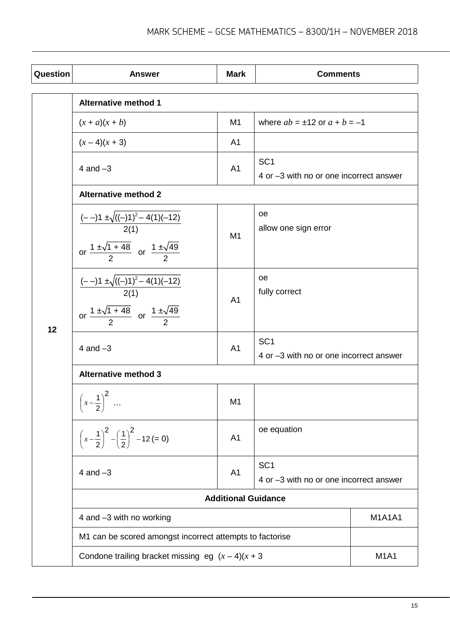| Question | <b>Answer</b>                                                                                                              | <b>Mark</b>    | <b>Comments</b>                                            |               |
|----------|----------------------------------------------------------------------------------------------------------------------------|----------------|------------------------------------------------------------|---------------|
|          | <b>Alternative method 1</b>                                                                                                |                |                                                            |               |
|          | $(x + a)(x + b)$                                                                                                           | M1             | where $ab = \pm 12$ or $a + b = -1$                        |               |
|          | $(x-4)(x + 3)$                                                                                                             | A <sub>1</sub> |                                                            |               |
|          | 4 and $-3$                                                                                                                 | A <sub>1</sub> | SC <sub>1</sub><br>4 or -3 with no or one incorrect answer |               |
|          | <b>Alternative method 2</b>                                                                                                |                |                                                            |               |
|          | $\frac{(--1)1 \pm \sqrt{((-1))^2 - 4(1)(-12)}}{2(1)}$<br>or $\frac{1 \pm \sqrt{1+48}}{2}$ or $\frac{1 \pm \sqrt{49}}{2}$   | M <sub>1</sub> | оe<br>allow one sign error                                 |               |
| 12       | $\frac{(--1)1 \pm \sqrt{((-1))^2 - 4(1)(-12)}}{2(1)}$<br>or $\frac{1 \pm \sqrt{1 + 48}}{2}$ or $\frac{1 \pm \sqrt{49}}{2}$ | A <sub>1</sub> | оe<br>fully correct                                        |               |
|          | 4 and $-3$                                                                                                                 | A <sub>1</sub> | SC <sub>1</sub><br>4 or -3 with no or one incorrect answer |               |
|          | <b>Alternative method 3</b>                                                                                                |                |                                                            |               |
|          | $(1)^2$<br>$\ldots$<br>$\left[\begin{array}{c}x-\overline{2}\end{array}\right]$                                            | M1             |                                                            |               |
|          | $\left(x-\frac{1}{2}\right)^2 - \left(\frac{1}{2}\right)^2 - 12 = 0$                                                       | A <sub>1</sub> | oe equation                                                |               |
|          | 4 and $-3$                                                                                                                 | A <sub>1</sub> | SC <sub>1</sub><br>4 or -3 with no or one incorrect answer |               |
|          | <b>Additional Guidance</b>                                                                                                 |                |                                                            |               |
|          | 4 and -3 with no working                                                                                                   |                |                                                            | <b>M1A1A1</b> |
|          | M1 can be scored amongst incorrect attempts to factorise                                                                   |                |                                                            |               |
|          | Condone trailing bracket missing eg $(x-4)(x+3)$                                                                           |                |                                                            | <b>M1A1</b>   |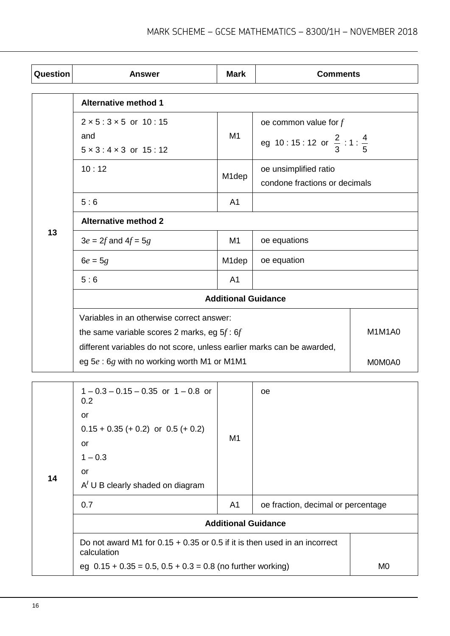| Question | <b>Answer</b>                                                          | <b>Mark</b>        | <b>Comments</b>                                |               |
|----------|------------------------------------------------------------------------|--------------------|------------------------------------------------|---------------|
|          |                                                                        |                    |                                                |               |
|          | <b>Alternative method 1</b>                                            |                    |                                                |               |
|          | $2 \times 5 : 3 \times 5$ or 10:15                                     |                    | oe common value for $f$                        |               |
|          | and                                                                    | M1                 | eg 10:15:12 or $\frac{2}{3}$ :1: $\frac{4}{5}$ |               |
|          | $5 \times 3$ : $4 \times 3$ or $15$ : 12                               |                    |                                                |               |
|          | 10:12                                                                  | M <sub>1</sub> dep | oe unsimplified ratio                          |               |
|          |                                                                        |                    | condone fractions or decimals                  |               |
|          | 5:6                                                                    | A <sub>1</sub>     |                                                |               |
|          | <b>Alternative method 2</b>                                            |                    |                                                |               |
| 13       | $3e = 2f$ and $4f = 5g$                                                | M1                 | oe equations                                   |               |
|          | $6e = 5g$                                                              | M <sub>1</sub> dep | oe equation                                    |               |
|          | 5:6                                                                    | A <sub>1</sub>     |                                                |               |
|          | <b>Additional Guidance</b>                                             |                    |                                                |               |
|          | Variables in an otherwise correct answer:                              |                    |                                                |               |
|          | the same variable scores 2 marks, eg $5f:6f$                           |                    |                                                | <b>M1M1A0</b> |
|          | different variables do not score, unless earlier marks can be awarded, |                    |                                                |               |
|          | eg 5e: 6g with no working worth M1 or M1M1                             |                    |                                                | M0M0A0        |

|    | $1 - 0.3 - 0.15 - 0.35$ or $1 - 0.8$ or<br>0.2                                             |                | oe.                                |  |  |
|----|--------------------------------------------------------------------------------------------|----------------|------------------------------------|--|--|
| 14 | or<br>$0.15 + 0.35 (+ 0.2)$ or $0.5 (+ 0.2)$<br>or<br>$1 - 0.3$<br>or                      | M1             |                                    |  |  |
|    | $A'$ U B clearly shaded on diagram                                                         |                |                                    |  |  |
|    | 0.7                                                                                        | A1             | oe fraction, decimal or percentage |  |  |
|    | <b>Additional Guidance</b>                                                                 |                |                                    |  |  |
|    | Do not award M1 for $0.15 + 0.35$ or 0.5 if it is then used in an incorrect<br>calculation |                |                                    |  |  |
|    | eg $0.15 + 0.35 = 0.5$ , $0.5 + 0.3 = 0.8$ (no further working)                            | M <sub>0</sub> |                                    |  |  |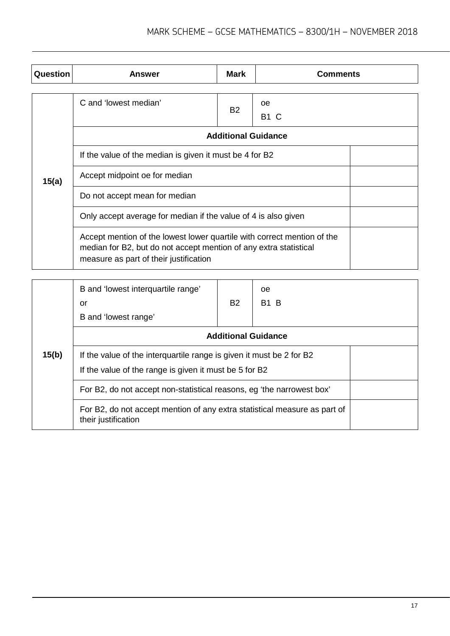| Question | Answer                                                                                                                                                                                 | Mark                       | <b>Comments</b> |  |
|----------|----------------------------------------------------------------------------------------------------------------------------------------------------------------------------------------|----------------------------|-----------------|--|
|          |                                                                                                                                                                                        |                            |                 |  |
|          | C and 'lowest median'                                                                                                                                                                  | <b>B2</b>                  | oe              |  |
|          |                                                                                                                                                                                        |                            | <b>B1 C</b>     |  |
|          |                                                                                                                                                                                        | <b>Additional Guidance</b> |                 |  |
|          | If the value of the median is given it must be 4 for B2                                                                                                                                |                            |                 |  |
| 15(a)    | Accept midpoint oe for median                                                                                                                                                          |                            |                 |  |
|          | Do not accept mean for median                                                                                                                                                          |                            |                 |  |
|          | Only accept average for median if the value of 4 is also given                                                                                                                         |                            |                 |  |
|          | Accept mention of the lowest lower quartile with correct mention of the<br>median for B2, but do not accept mention of any extra statistical<br>measure as part of their justification |                            |                 |  |

|       | B and 'lowest interquartile range'<br>or<br>B and 'lowest range'                                                               | <b>B2</b> | oe.<br><b>B1 B</b>         |  |  |
|-------|--------------------------------------------------------------------------------------------------------------------------------|-----------|----------------------------|--|--|
|       |                                                                                                                                |           | <b>Additional Guidance</b> |  |  |
| 15(b) | If the value of the interguartile range is given it must be 2 for B2<br>If the value of the range is given it must be 5 for B2 |           |                            |  |  |
|       | For B2, do not accept non-statistical reasons, eg 'the narrowest box'                                                          |           |                            |  |  |
|       | For B2, do not accept mention of any extra statistical measure as part of<br>their justification                               |           |                            |  |  |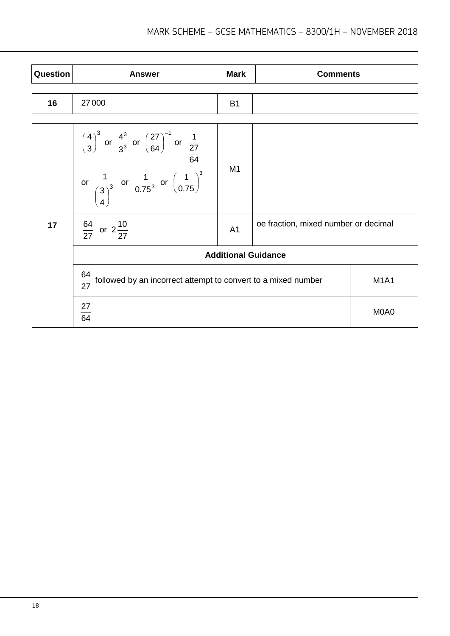| Question | <b>Answer</b>                                                                                                                                                                                                             | <b>Mark</b>                                            | <b>Comments</b> |             |  |
|----------|---------------------------------------------------------------------------------------------------------------------------------------------------------------------------------------------------------------------------|--------------------------------------------------------|-----------------|-------------|--|
| 16       | 27000                                                                                                                                                                                                                     | <b>B1</b>                                              |                 |             |  |
|          |                                                                                                                                                                                                                           |                                                        |                 |             |  |
| 17       | $\left(\frac{4}{3}\right)^3$ or $\frac{4^3}{3^3}$ or $\left(\frac{27}{64}\right)^{-1}$ or $\frac{1}{\frac{27}{64}}$<br>or $\frac{1}{\left(\frac{3}{4}\right)^3}$ or $\frac{1}{0.75^3}$ or $\left(\frac{1}{0.75}\right)^3$ | M1                                                     |                 |             |  |
|          | $\frac{64}{27}$ or $2\frac{10}{27}$                                                                                                                                                                                       | oe fraction, mixed number or decimal<br>A <sub>1</sub> |                 |             |  |
|          | <b>Additional Guidance</b>                                                                                                                                                                                                |                                                        |                 |             |  |
|          | $\frac{64}{27}$ followed by an incorrect attempt to convert to a mixed number                                                                                                                                             |                                                        |                 | <b>M1A1</b> |  |
|          | $\frac{27}{64}$                                                                                                                                                                                                           |                                                        |                 | M0A0        |  |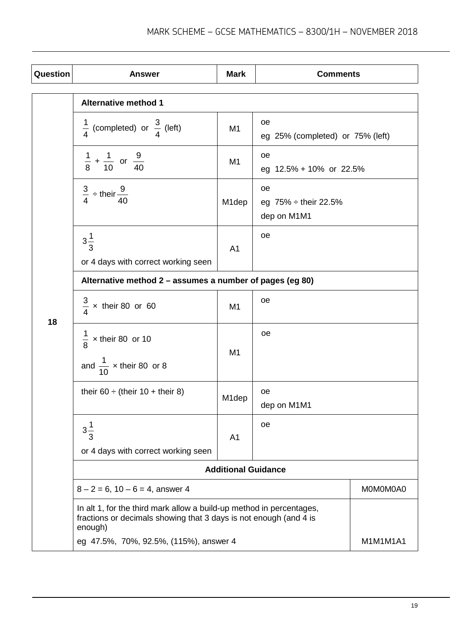| Question | <b>Answer</b>                                                                                                                                        | <b>Mark</b>        | <b>Comments</b>                                |          |
|----------|------------------------------------------------------------------------------------------------------------------------------------------------------|--------------------|------------------------------------------------|----------|
|          | <b>Alternative method 1</b>                                                                                                                          |                    |                                                |          |
|          | $\frac{1}{4}$ (completed) or $\frac{3}{4}$ (left)                                                                                                    | M <sub>1</sub>     | oе<br>eg 25% (completed) or 75% (left)         |          |
|          | $\frac{1}{8}$ + $\frac{1}{10}$ or $\frac{9}{40}$                                                                                                     | M <sub>1</sub>     | oe<br>eg 12.5% + 10% or 22.5%                  |          |
|          | $\frac{3}{4}$ ÷ their $\frac{9}{40}$                                                                                                                 | M <sub>1</sub> dep | oe<br>eg $75% \div$ their 22.5%<br>dep on M1M1 |          |
|          | $3\frac{1}{3}$<br>or 4 days with correct working seen                                                                                                | A <sub>1</sub>     | oe                                             |          |
|          | Alternative method 2 - assumes a number of pages (eg 80)                                                                                             |                    |                                                |          |
| 18       | $\frac{3}{4}$ x their 80 or 60                                                                                                                       | M <sub>1</sub>     | oe                                             |          |
|          | $\frac{1}{8}$ x their 80 or 10<br>and $\frac{1}{10}$ x their 80 or 8                                                                                 | M <sub>1</sub>     | oe                                             |          |
|          | their 60 $\div$ (their 10 + their 8)                                                                                                                 | M1dep              | oe<br>dep on M1M1                              |          |
|          | $3\frac{1}{3}$<br>or 4 days with correct working seen                                                                                                | A <sub>1</sub>     | oe                                             |          |
|          | <b>Additional Guidance</b>                                                                                                                           |                    |                                                |          |
|          | $8 - 2 = 6$ , $10 - 6 = 4$ , answer 4                                                                                                                |                    |                                                | MOMOMOA0 |
|          | In alt 1, for the third mark allow a build-up method in percentages,<br>fractions or decimals showing that 3 days is not enough (and 4 is<br>enough) |                    |                                                |          |
|          | eg 47.5%, 70%, 92.5%, (115%), answer 4                                                                                                               |                    |                                                | M1M1M1A1 |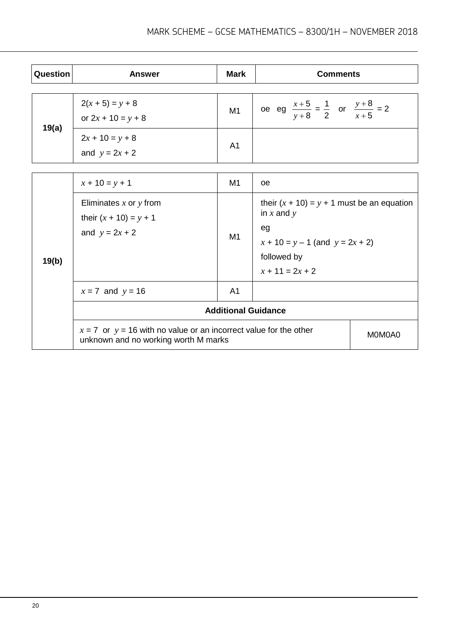| Question | <b>Answer</b>                                                                                                 | <b>Mark</b>    | <b>Comments</b>                                                |        |
|----------|---------------------------------------------------------------------------------------------------------------|----------------|----------------------------------------------------------------|--------|
|          |                                                                                                               |                |                                                                |        |
| 19(a)    | $2(x + 5) = y + 8$<br>or $2x + 10 = y + 8$                                                                    | M1             | oe eg $\frac{x+5}{y+8} = \frac{1}{2}$ or $\frac{y+8}{x+5} = 2$ |        |
|          | $2x + 10 = y + 8$<br>and $y = 2x + 2$                                                                         | A <sub>1</sub> |                                                                |        |
|          |                                                                                                               |                |                                                                |        |
|          | $x + 10 = y + 1$                                                                                              | M1             | oe                                                             |        |
|          | Eliminates $x$ or $y$ from<br>their $(x + 10) = y + 1$                                                        |                | their $(x + 10) = y + 1$ must be an equation<br>in $x$ and $y$ |        |
|          | and $y = 2x + 2$                                                                                              | M1             | eg                                                             |        |
|          |                                                                                                               |                | $x + 10 = y - 1$ (and $y = 2x + 2$ )                           |        |
| 19(b)    |                                                                                                               |                | followed by                                                    |        |
|          |                                                                                                               |                | $x + 11 = 2x + 2$                                              |        |
|          | $x = 7$ and $y = 16$                                                                                          | A <sub>1</sub> |                                                                |        |
|          | <b>Additional Guidance</b>                                                                                    |                |                                                                |        |
|          | $x = 7$ or $y = 16$ with no value or an incorrect value for the other<br>unknown and no working worth M marks |                |                                                                | M0M0A0 |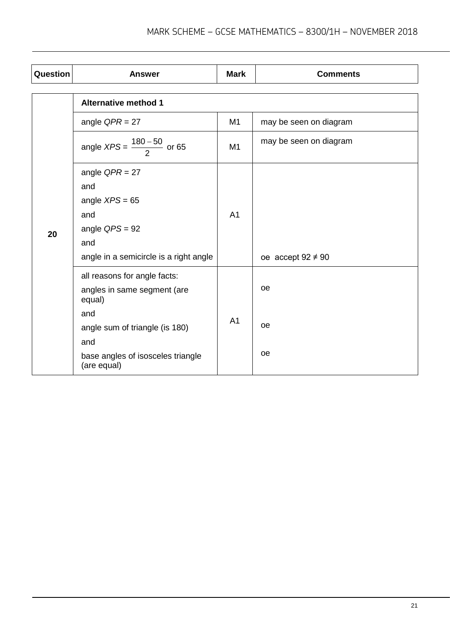| Question | <b>Answer</b>                                    | <b>Mark</b>    | <b>Comments</b>        |
|----------|--------------------------------------------------|----------------|------------------------|
|          |                                                  |                |                        |
|          | <b>Alternative method 1</b>                      |                |                        |
|          | angle $QPR = 27$                                 | M1             | may be seen on diagram |
|          | angle $XPS = \frac{180 - 50}{2}$ or 65           | M1             | may be seen on diagram |
|          | angle $QPR = 27$                                 |                |                        |
|          | and                                              |                |                        |
|          | angle $XPS = 65$                                 | A <sub>1</sub> |                        |
|          | and                                              |                |                        |
| 20       | angle $QPS = 92$                                 |                |                        |
|          | and                                              |                |                        |
|          | angle in a semicircle is a right angle           |                | oe accept $92 \neq 90$ |
|          | all reasons for angle facts:                     |                |                        |
|          | angles in same segment (are<br>equal)            |                | <b>oe</b>              |
|          | and                                              | A <sub>1</sub> |                        |
|          | angle sum of triangle (is 180)                   |                | <b>oe</b>              |
|          | and                                              |                |                        |
|          | base angles of isosceles triangle<br>(are equal) |                | oe                     |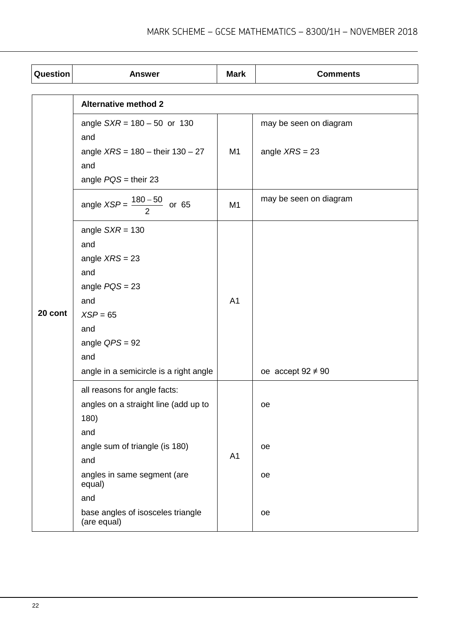| Question | <b>Answer</b>                                    | <b>Mark</b>    | <b>Comments</b>        |
|----------|--------------------------------------------------|----------------|------------------------|
|          |                                                  |                |                        |
|          | <b>Alternative method 2</b>                      |                |                        |
|          | angle $SXR = 180 - 50$ or 130<br>and             |                | may be seen on diagram |
|          | angle $XRS = 180 -$ their $130 - 27$<br>and      | M1             | angle $XRS = 23$       |
|          | angle $POS =$ their 23                           |                |                        |
|          | angle $XSP = \frac{180 - 50}{2}$ or 65           | M <sub>1</sub> | may be seen on diagram |
|          | angle $SXR = 130$                                |                |                        |
|          | and                                              |                |                        |
|          | angle $XRS = 23$                                 |                |                        |
|          | and                                              |                |                        |
|          | angle $PQS = 23$                                 | A <sub>1</sub> |                        |
|          | and                                              |                |                        |
| 20 cont  | $XSP = 65$                                       |                |                        |
|          | and                                              |                |                        |
|          | angle $QPS = 92$                                 |                |                        |
|          | and                                              |                |                        |
|          | angle in a semicircle is a right angle           |                | oe accept $92 \neq 90$ |
|          | all reasons for angle facts:                     |                |                        |
|          | angles on a straight line (add up to             |                | oe                     |
|          | 180)                                             |                |                        |
|          | and                                              |                |                        |
|          | angle sum of triangle (is 180)                   | A1             | oe                     |
|          | and                                              |                |                        |
|          | angles in same segment (are<br>equal)            |                | oe                     |
|          | and                                              |                |                        |
|          | base angles of isosceles triangle<br>(are equal) |                | oe                     |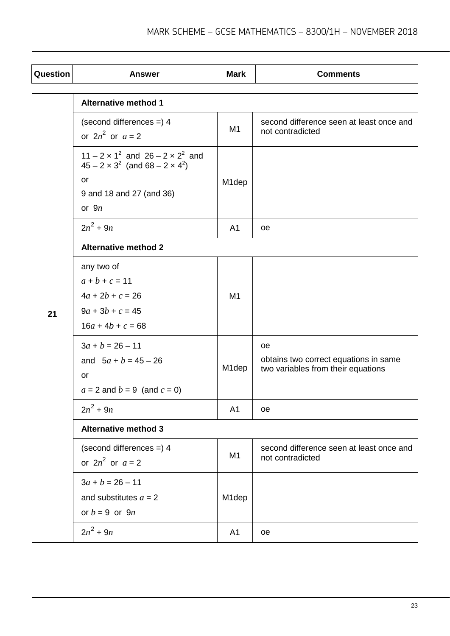| Question | <b>Answer</b>                                                                                                                                  | <b>Mark</b>        | <b>Comments</b>                                                                    |  |
|----------|------------------------------------------------------------------------------------------------------------------------------------------------|--------------------|------------------------------------------------------------------------------------|--|
|          | <b>Alternative method 1</b>                                                                                                                    |                    |                                                                                    |  |
|          | (second differences $=$ ) 4<br>or $2n^2$ or $a=2$                                                                                              | M <sub>1</sub>     | second difference seen at least once and<br>not contradicted                       |  |
|          | $11 - 2 \times 1^2$ and $26 - 2 \times 2^2$ and<br>$45 - 2 \times 3^2$ (and $68 - 2 \times 4^2$ )<br>or<br>9 and 18 and 27 (and 36)<br>or $9n$ | M <sub>1</sub> dep |                                                                                    |  |
|          | $2n^2 + 9n$                                                                                                                                    | A <sub>1</sub>     | oe                                                                                 |  |
|          | <b>Alternative method 2</b>                                                                                                                    |                    |                                                                                    |  |
| 21       | any two of<br>$a + b + c = 11$<br>$4a + 2b + c = 26$<br>$9a + 3b + c = 45$<br>$16a + 4b + c = 68$                                              | M <sub>1</sub>     |                                                                                    |  |
|          | $3a + b = 26 - 11$<br>and $5a + b = 45 - 26$<br>or<br>$a = 2$ and $b = 9$ (and $c = 0$ )                                                       | M <sub>1</sub> dep | oe.<br>obtains two correct equations in same<br>two variables from their equations |  |
|          | $2n^2 + 9n$                                                                                                                                    | A <sub>1</sub>     | oe                                                                                 |  |
|          | <b>Alternative method 3</b>                                                                                                                    |                    |                                                                                    |  |
|          | (second differences $=$ ) 4<br>or $2n^2$ or $a=2$                                                                                              | M1                 | second difference seen at least once and<br>not contradicted                       |  |
|          | $3a + b = 26 - 11$<br>and substitutes $a = 2$<br>or $b = 9$ or $9n$                                                                            | M1dep              |                                                                                    |  |
|          | $2n^2 + 9n$                                                                                                                                    | A1                 | oe                                                                                 |  |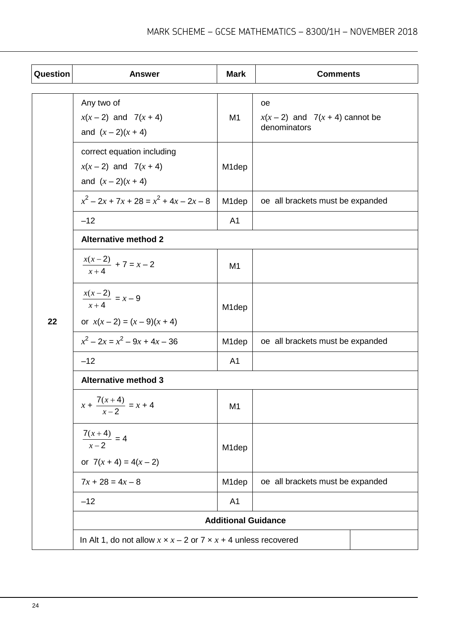| Question | <b>Answer</b>                                                                 | <b>Mark</b>                | <b>Comments</b>                                   |  |
|----------|-------------------------------------------------------------------------------|----------------------------|---------------------------------------------------|--|
|          | Any two of                                                                    |                            | oе                                                |  |
|          | $x(x-2)$ and $7(x + 4)$<br>and $(x - 2)(x + 4)$                               | M <sub>1</sub>             | $x(x-2)$ and $7(x + 4)$ cannot be<br>denominators |  |
|          | correct equation including<br>$x(x-2)$ and $7(x + 4)$<br>and $(x - 2)(x + 4)$ | M <sub>1</sub> dep         |                                                   |  |
|          | $x^2-2x+7x+28=x^2+4x-2x-8$                                                    | M <sub>1</sub> dep         | oe all brackets must be expanded                  |  |
|          | $-12$                                                                         | A <sub>1</sub>             |                                                   |  |
|          | <b>Alternative method 2</b>                                                   |                            |                                                   |  |
|          | $\frac{x(x-2)}{x+4} + 7 = x-2$                                                | M <sub>1</sub>             |                                                   |  |
| 22       | $\frac{x(x-2)}{x+4} = x-9$<br>or $x(x-2) = (x-9)(x + 4)$                      | M <sub>1</sub> dep         |                                                   |  |
|          | $x^2 - 2x = x^2 - 9x + 4x - 36$                                               | M <sub>1</sub> dep         | oe all brackets must be expanded                  |  |
|          | $-12$                                                                         | A <sub>1</sub>             |                                                   |  |
|          | <b>Alternative method 3</b>                                                   |                            |                                                   |  |
|          | $x + \frac{7(x+4)}{x-2} = x + 4$                                              | M <sub>1</sub>             |                                                   |  |
|          | $\frac{7(x+4)}{x-2} = 4$<br>or $7(x + 4) = 4(x - 2)$                          | M <sub>1</sub> dep         |                                                   |  |
|          | $7x + 28 = 4x - 8$                                                            | M <sub>1</sub> dep         | oe all brackets must be expanded                  |  |
|          | $-12$                                                                         | A <sub>1</sub>             |                                                   |  |
|          |                                                                               | <b>Additional Guidance</b> |                                                   |  |
|          | In Alt 1, do not allow $x \times x - 2$ or $7 \times x + 4$ unless recovered  |                            |                                                   |  |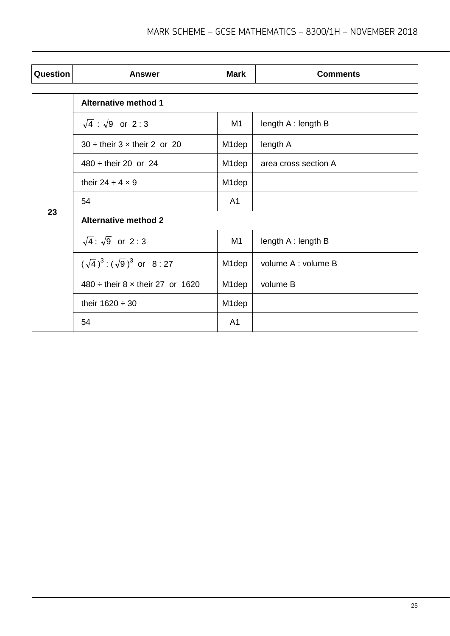| Question | <b>Answer</b>                            | <b>Mark</b>        | <b>Comments</b>      |  |  |
|----------|------------------------------------------|--------------------|----------------------|--|--|
| 23       | <b>Alternative method 1</b>              |                    |                      |  |  |
|          | $\sqrt{4}$ : $\sqrt{9}$ or 2:3           | M <sub>1</sub>     | length A : length B  |  |  |
|          | $30 \div$ their $3 \times$ their 2 or 20 | M1dep              | length A             |  |  |
|          | $480 \div$ their 20 or 24                | M <sub>1</sub> dep | area cross section A |  |  |
|          | their 24 $\div$ 4 $\times$ 9             | M <sub>1</sub> dep |                      |  |  |
|          | 54                                       | A <sub>1</sub>     |                      |  |  |
|          | <b>Alternative method 2</b>              |                    |                      |  |  |
|          | $\sqrt{4}$ : $\sqrt{9}$ or 2:3           | M <sub>1</sub>     | length A : length B  |  |  |
|          | $(\sqrt{4})^3$ : $(\sqrt{9})^3$ or 8:27  | M <sub>1</sub> dep | volume A : volume B  |  |  |
|          | $480 \div$ their 8 x their 27 or 1620    | M <sub>1</sub> dep | volume B             |  |  |
|          | their $1620 \div 30$                     | M <sub>1</sub> dep |                      |  |  |
|          | 54                                       | A <sub>1</sub>     |                      |  |  |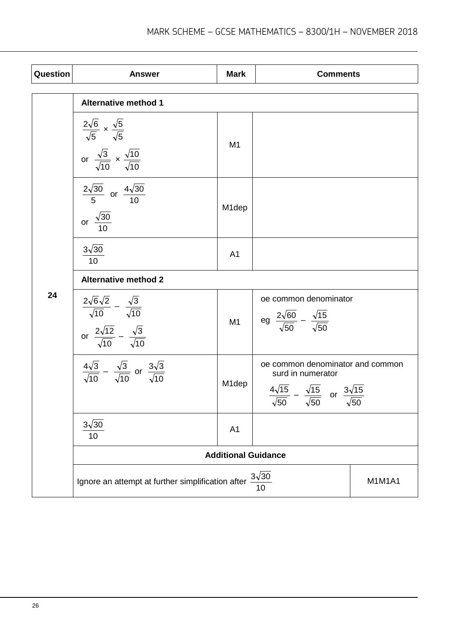| Question | <b>Answer</b>                                                                                                                      | <b>Mark</b>        | <b>Comments</b>                                                                                                                                     |               |
|----------|------------------------------------------------------------------------------------------------------------------------------------|--------------------|-----------------------------------------------------------------------------------------------------------------------------------------------------|---------------|
|          | <b>Alternative method 1</b>                                                                                                        |                    |                                                                                                                                                     |               |
|          | $rac{2\sqrt{6}}{\sqrt{5}} \times \frac{\sqrt{5}}{\sqrt{5}}$<br>or $\frac{\sqrt{3}}{\sqrt{10}} \times \frac{\sqrt{10}}{\sqrt{10}}$  | M <sub>1</sub>     |                                                                                                                                                     |               |
|          | $\frac{2\sqrt{30}}{5}$ or $\frac{4\sqrt{30}}{10}$<br>or $\frac{\sqrt{30}}{10}$                                                     | M <sub>1</sub> dep |                                                                                                                                                     |               |
|          | $3\sqrt{30}$<br>10                                                                                                                 | A1                 |                                                                                                                                                     |               |
|          | <b>Alternative method 2</b>                                                                                                        |                    |                                                                                                                                                     |               |
| 24       | $rac{2\sqrt{6}\sqrt{2}}{\sqrt{10}} - \frac{\sqrt{3}}{\sqrt{10}}$<br>or $\frac{2\sqrt{12}}{\sqrt{10}} - \frac{\sqrt{3}}{\sqrt{10}}$ | M1                 | oe common denominator<br>eg $\frac{2\sqrt{60}}{\sqrt{50}} - \frac{\sqrt{15}}{\sqrt{50}}$                                                            |               |
|          | $rac{4\sqrt{3}}{\sqrt{10}} - \frac{\sqrt{3}}{\sqrt{10}}$ or $rac{3\sqrt{3}}{\sqrt{10}}$                                            | M1dep              | oe common denominator and common<br>surd in numerator<br>$rac{4\sqrt{15}}{\sqrt{50}} - \frac{\sqrt{15}}{\sqrt{50}}$ or $rac{3\sqrt{15}}{\sqrt{50}}$ |               |
|          | $3\sqrt{30}$<br>10                                                                                                                 | A1                 |                                                                                                                                                     |               |
|          | <b>Additional Guidance</b>                                                                                                         |                    |                                                                                                                                                     |               |
|          | $3\sqrt{30}$<br>Ignore an attempt at further simplification after<br>10                                                            |                    |                                                                                                                                                     | <b>M1M1A1</b> |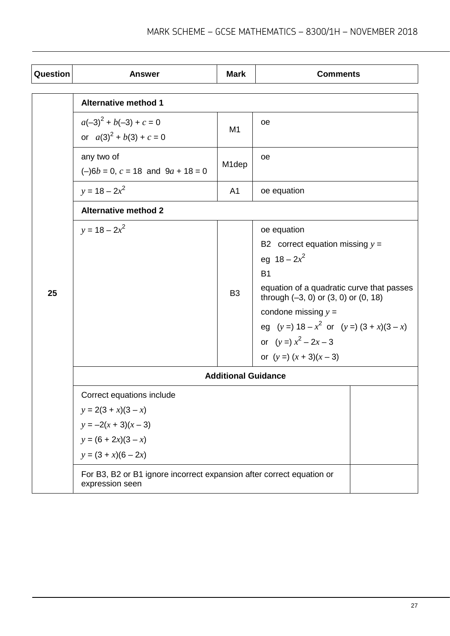| Question | <b>Answer</b>                                                                                                                  | <b>Mark</b>        | <b>Comments</b>                                                                                                                                                                                                                                                                                               |  |
|----------|--------------------------------------------------------------------------------------------------------------------------------|--------------------|---------------------------------------------------------------------------------------------------------------------------------------------------------------------------------------------------------------------------------------------------------------------------------------------------------------|--|
|          | <b>Alternative method 1</b>                                                                                                    |                    |                                                                                                                                                                                                                                                                                                               |  |
|          | $a(-3)^2 + b(-3) + c = 0$<br>or $a(3)^2 + b(3) + c = 0$                                                                        | M <sub>1</sub>     | oe                                                                                                                                                                                                                                                                                                            |  |
|          | any two of<br>$(-)6b = 0$ , $c = 18$ and $9a + 18 = 0$                                                                         | M <sub>1</sub> dep | oe                                                                                                                                                                                                                                                                                                            |  |
|          | $y = 18 - 2x^2$                                                                                                                | A <sub>1</sub>     | oe equation                                                                                                                                                                                                                                                                                                   |  |
|          | <b>Alternative method 2</b>                                                                                                    |                    |                                                                                                                                                                                                                                                                                                               |  |
| 25       | $y = 18 - 2x^2$                                                                                                                | B <sub>3</sub>     | oe equation<br>B2 correct equation missing $y =$<br>eg $18 - 2x^2$<br><b>B1</b><br>equation of a quadratic curve that passes<br>through $(-3, 0)$ or $(3, 0)$ or $(0, 18)$<br>condone missing $y =$<br>eg $(y=)$ 18 – $x^2$ or $(y=)$ $(3 + x)(3 - x)$<br>or $(y =) x^2 - 2x - 3$<br>or $(y = (x + 3)(x - 3)$ |  |
|          | <b>Additional Guidance</b>                                                                                                     |                    |                                                                                                                                                                                                                                                                                                               |  |
|          | Correct equations include<br>$y = 2(3 + x)(3 - x)$<br>$y = -2(x + 3)(x - 3)$<br>$y = (6 + 2x)(3 - x)$<br>$y = (3 + x)(6 - 2x)$ |                    |                                                                                                                                                                                                                                                                                                               |  |
|          | For B3, B2 or B1 ignore incorrect expansion after correct equation or<br>expression seen                                       |                    |                                                                                                                                                                                                                                                                                                               |  |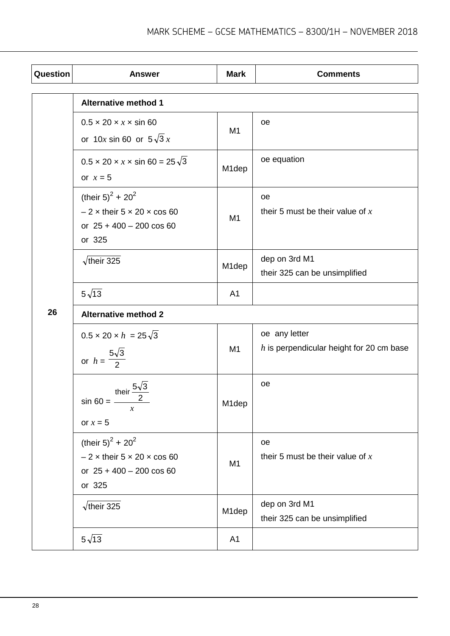| Question | <b>Answer</b>                                                                                                                       | <b>Mark</b>    | <b>Comments</b>                                             |  |
|----------|-------------------------------------------------------------------------------------------------------------------------------------|----------------|-------------------------------------------------------------|--|
|          | <b>Alternative method 1</b>                                                                                                         |                |                                                             |  |
|          | $0.5 \times 20 \times x \times \sin 60$<br>or 10x sin 60 or $5\sqrt{3}x$                                                            | M <sub>1</sub> | oe                                                          |  |
|          | $0.5 \times 20 \times x \times \sin 60 = 25\sqrt{3}$<br>or $x = 5$                                                                  | M1dep          | oe equation                                                 |  |
|          | (their $5)^2 + 20^2$<br>$-2 \times$ their $5 \times 20 \times \cos 60$<br>or $25 + 400 - 200 \cos 60$<br>or 325                     | M <sub>1</sub> | oe<br>their 5 must be their value of $x$                    |  |
|          | $\sqrt{\text{their }325}$                                                                                                           | M1dep          | dep on 3rd M1<br>their 325 can be unsimplified              |  |
|          | $5\sqrt{13}$                                                                                                                        | A1             |                                                             |  |
| 26       | <b>Alternative method 2</b>                                                                                                         |                |                                                             |  |
|          | $0.5 \times 20 \times h = 25\sqrt{3}$<br>or $h = \frac{5\sqrt{3}}{2}$                                                               | M1             | oe any letter<br>$h$ is perpendicular height for 20 cm base |  |
|          | their $\frac{5\sqrt{3}}{3}$<br>$sin 60 =$ —<br>$\mathcal{X}$<br>or $x = 5$                                                          | M1dep          | oe                                                          |  |
|          | (their 5) <sup>2</sup> + 20 <sup>2</sup><br>$-2 \times$ their $5 \times 20 \times \cos 60$<br>or $25 + 400 - 200 \cos 60$<br>or 325 | M <sub>1</sub> | oe<br>their 5 must be their value of $x$                    |  |
|          | $\sqrt{\text{their }325}$                                                                                                           | M1dep          | dep on 3rd M1<br>their 325 can be unsimplified              |  |
|          | $5\sqrt{13}$                                                                                                                        | A1             |                                                             |  |